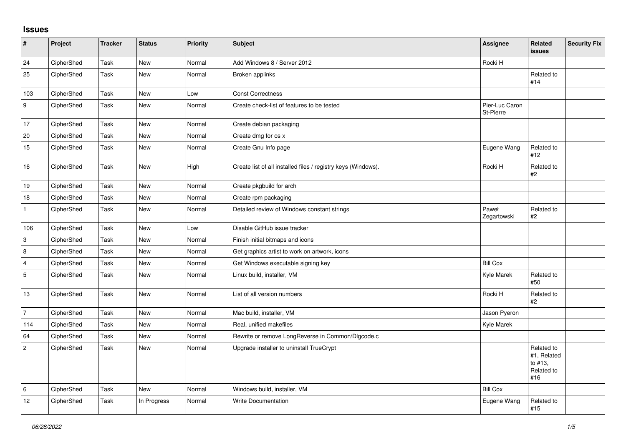## **Issues**

| $\sharp$       | Project    | <b>Tracker</b> | <b>Status</b> | Priority | Subject                                                       | Assignee                    | <b>Related</b><br><b>issues</b>                           | <b>Security Fix</b> |
|----------------|------------|----------------|---------------|----------|---------------------------------------------------------------|-----------------------------|-----------------------------------------------------------|---------------------|
| 24             | CipherShed | Task           | <b>New</b>    | Normal   | Add Windows 8 / Server 2012                                   | Rocki H                     |                                                           |                     |
| 25             | CipherShed | Task           | New           | Normal   | Broken applinks                                               |                             | Related to<br>#14                                         |                     |
| 103            | CipherShed | Task           | New           | Low      | <b>Const Correctness</b>                                      |                             |                                                           |                     |
| 9              | CipherShed | Task           | <b>New</b>    | Normal   | Create check-list of features to be tested                    | Pier-Luc Caron<br>St-Pierre |                                                           |                     |
| 17             | CipherShed | Task           | New           | Normal   | Create debian packaging                                       |                             |                                                           |                     |
| 20             | CipherShed | Task           | New           | Normal   | Create dmg for os x                                           |                             |                                                           |                     |
| 15             | CipherShed | Task           | New           | Normal   | Create Gnu Info page                                          | Eugene Wang                 | Related to<br>#12                                         |                     |
| $16\,$         | CipherShed | Task           | New           | High     | Create list of all installed files / registry keys (Windows). | Rocki H                     | Related to<br>#2                                          |                     |
| 19             | CipherShed | Task           | <b>New</b>    | Normal   | Create pkgbuild for arch                                      |                             |                                                           |                     |
| $18$           | CipherShed | Task           | New           | Normal   | Create rpm packaging                                          |                             |                                                           |                     |
| $\mathbf{1}$   | CipherShed | Task           | New           | Normal   | Detailed review of Windows constant strings                   | Paweł<br>Zegartowski        | Related to<br>#2                                          |                     |
| 106            | CipherShed | Task           | <b>New</b>    | Low      | Disable GitHub issue tracker                                  |                             |                                                           |                     |
| $\,3$          | CipherShed | Task           | New           | Normal   | Finish initial bitmaps and icons                              |                             |                                                           |                     |
| 8              | CipherShed | Task           | New           | Normal   | Get graphics artist to work on artwork, icons                 |                             |                                                           |                     |
| $\overline{4}$ | CipherShed | Task           | <b>New</b>    | Normal   | Get Windows executable signing key                            | <b>Bill Cox</b>             |                                                           |                     |
| $\sqrt{5}$     | CipherShed | Task           | New           | Normal   | Linux build, installer, VM                                    | Kyle Marek                  | Related to<br>#50                                         |                     |
| 13             | CipherShed | Task           | <b>New</b>    | Normal   | List of all version numbers                                   | Rocki H                     | Related to<br>#2                                          |                     |
| $\overline{7}$ | CipherShed | Task           | <b>New</b>    | Normal   | Mac build, installer, VM                                      | Jason Pyeron                |                                                           |                     |
| 114            | CipherShed | Task           | New           | Normal   | Real, unified makefiles                                       | Kyle Marek                  |                                                           |                     |
| 64             | CipherShed | Task           | <b>New</b>    | Normal   | Rewrite or remove LongReverse in Common/Dlgcode.c             |                             |                                                           |                     |
| $\overline{c}$ | CipherShed | Task           | <b>New</b>    | Normal   | Upgrade installer to uninstall TrueCrypt                      |                             | Related to<br>#1, Related<br>to #13,<br>Related to<br>#16 |                     |
| $\,6\,$        | CipherShed | Task           | <b>New</b>    | Normal   | Windows build, installer, VM                                  | <b>Bill Cox</b>             |                                                           |                     |
| 12             | CipherShed | Task           | In Progress   | Normal   | <b>Write Documentation</b>                                    | Eugene Wang                 | Related to<br>#15                                         |                     |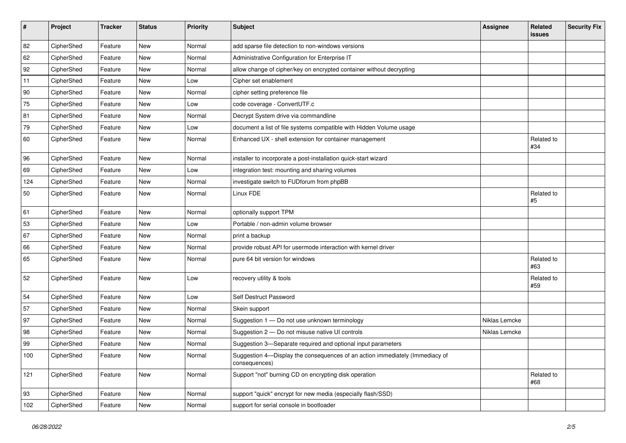| #   | Project    | <b>Tracker</b> | <b>Status</b> | Priority | <b>Subject</b>                                                                                | <b>Assignee</b> | Related<br>issues | <b>Security Fix</b> |
|-----|------------|----------------|---------------|----------|-----------------------------------------------------------------------------------------------|-----------------|-------------------|---------------------|
| 82  | CipherShed | Feature        | <b>New</b>    | Normal   | add sparse file detection to non-windows versions                                             |                 |                   |                     |
| 62  | CipherShed | Feature        | New           | Normal   | Administrative Configuration for Enterprise IT                                                |                 |                   |                     |
| 92  | CipherShed | Feature        | New           | Normal   | allow change of cipher/key on encrypted container without decrypting                          |                 |                   |                     |
| 11  | CipherShed | Feature        | New           | Low      | Cipher set enablement                                                                         |                 |                   |                     |
| 90  | CipherShed | Feature        | <b>New</b>    | Normal   | cipher setting preference file                                                                |                 |                   |                     |
| 75  | CipherShed | Feature        | New           | Low      | code coverage - ConvertUTF.c                                                                  |                 |                   |                     |
| 81  | CipherShed | Feature        | New           | Normal   | Decrypt System drive via commandline                                                          |                 |                   |                     |
| 79  | CipherShed | Feature        | New           | Low      | document a list of file systems compatible with Hidden Volume usage                           |                 |                   |                     |
| 60  | CipherShed | Feature        | New           | Normal   | Enhanced UX - shell extension for container management                                        |                 | Related to<br>#34 |                     |
| 96  | CipherShed | Feature        | New           | Normal   | installer to incorporate a post-installation quick-start wizard                               |                 |                   |                     |
| 69  | CipherShed | Feature        | New           | Low      | integration test: mounting and sharing volumes                                                |                 |                   |                     |
| 124 | CipherShed | Feature        | New           | Normal   | investigate switch to FUDforum from phpBB                                                     |                 |                   |                     |
| 50  | CipherShed | Feature        | New           | Normal   | Linux FDE                                                                                     |                 | Related to<br>#5  |                     |
| 61  | CipherShed | Feature        | New           | Normal   | optionally support TPM                                                                        |                 |                   |                     |
| 53  | CipherShed | Feature        | New           | Low      | Portable / non-admin volume browser                                                           |                 |                   |                     |
| 67  | CipherShed | Feature        | New           | Normal   | print a backup                                                                                |                 |                   |                     |
| 66  | CipherShed | Feature        | New           | Normal   | provide robust API for usermode interaction with kernel driver                                |                 |                   |                     |
| 65  | CipherShed | Feature        | New           | Normal   | pure 64 bit version for windows                                                               |                 | Related to<br>#63 |                     |
| 52  | CipherShed | Feature        | New           | Low      | recovery utility & tools                                                                      |                 | Related to<br>#59 |                     |
| 54  | CipherShed | Feature        | New           | Low      | Self Destruct Password                                                                        |                 |                   |                     |
| 57  | CipherShed | Feature        | New           | Normal   | Skein support                                                                                 |                 |                   |                     |
| 97  | CipherShed | Feature        | New           | Normal   | Suggestion 1 - Do not use unknown terminology                                                 | Niklas Lemcke   |                   |                     |
| 98  | CipherShed | Feature        | <b>New</b>    | Normal   | Suggestion 2 - Do not misuse native UI controls                                               | Niklas Lemcke   |                   |                     |
| 99  | CipherShed | Feature        | New           | Normal   | Suggestion 3-Separate required and optional input parameters                                  |                 |                   |                     |
| 100 | CipherShed | Feature        | New           | Normal   | Suggestion 4-Display the consequences of an action immediately (Immediacy of<br>consequences) |                 |                   |                     |
| 121 | CipherShed | Feature        | New           | Normal   | Support "not" burning CD on encrypting disk operation                                         |                 | Related to<br>#68 |                     |
| 93  | CipherShed | Feature        | New           | Normal   | support "quick" encrypt for new media (especially flash/SSD)                                  |                 |                   |                     |
| 102 | CipherShed | Feature        | New           | Normal   | support for serial console in bootloader                                                      |                 |                   |                     |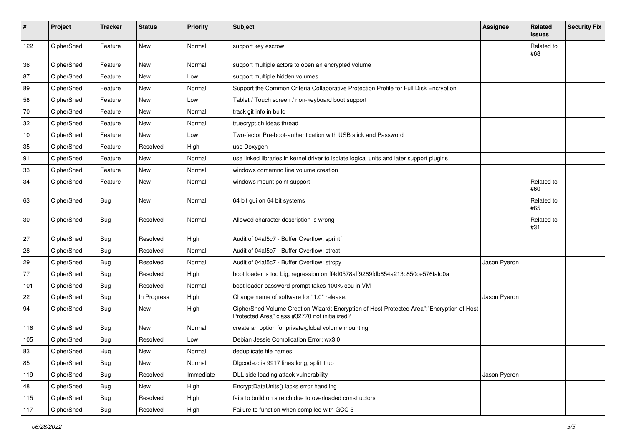| #      | Project    | <b>Tracker</b> | <b>Status</b> | Priority  | <b>Subject</b>                                                                                                                             | <b>Assignee</b> | Related<br><b>issues</b> | <b>Security Fix</b> |
|--------|------------|----------------|---------------|-----------|--------------------------------------------------------------------------------------------------------------------------------------------|-----------------|--------------------------|---------------------|
| 122    | CipherShed | Feature        | <b>New</b>    | Normal    | support key escrow                                                                                                                         |                 | Related to<br>#68        |                     |
| 36     | CipherShed | Feature        | New           | Normal    | support multiple actors to open an encrypted volume                                                                                        |                 |                          |                     |
| 87     | CipherShed | Feature        | <b>New</b>    | Low       | support multiple hidden volumes                                                                                                            |                 |                          |                     |
| 89     | CipherShed | Feature        | New           | Normal    | Support the Common Criteria Collaborative Protection Profile for Full Disk Encryption                                                      |                 |                          |                     |
| 58     | CipherShed | Feature        | New           | Low       | Tablet / Touch screen / non-keyboard boot support                                                                                          |                 |                          |                     |
| 70     | CipherShed | Feature        | New           | Normal    | track git info in build                                                                                                                    |                 |                          |                     |
| 32     | CipherShed | Feature        | New           | Normal    | truecrypt.ch ideas thread                                                                                                                  |                 |                          |                     |
| $10\,$ | CipherShed | Feature        | <b>New</b>    | Low       | Two-factor Pre-boot-authentication with USB stick and Password                                                                             |                 |                          |                     |
| 35     | CipherShed | Feature        | Resolved      | High      | use Doxygen                                                                                                                                |                 |                          |                     |
| 91     | CipherShed | Feature        | New           | Normal    | use linked libraries in kernel driver to isolate logical units and later support plugins                                                   |                 |                          |                     |
| 33     | CipherShed | Feature        | New           | Normal    | windows comamnd line volume creation                                                                                                       |                 |                          |                     |
| 34     | CipherShed | Feature        | New           | Normal    | windows mount point support                                                                                                                |                 | Related to<br>#60        |                     |
| 63     | CipherShed | <b>Bug</b>     | <b>New</b>    | Normal    | 64 bit gui on 64 bit systems                                                                                                               |                 | Related to<br>#65        |                     |
| 30     | CipherShed | <b>Bug</b>     | Resolved      | Normal    | Allowed character description is wrong                                                                                                     |                 | Related to<br>#31        |                     |
| 27     | CipherShed | <b>Bug</b>     | Resolved      | High      | Audit of 04af5c7 - Buffer Overflow: sprintf                                                                                                |                 |                          |                     |
| 28     | CipherShed | <b>Bug</b>     | Resolved      | Normal    | Audit of 04af5c7 - Buffer Overflow: strcat                                                                                                 |                 |                          |                     |
| 29     | CipherShed | <b>Bug</b>     | Resolved      | Normal    | Audit of 04af5c7 - Buffer Overflow: strcpy                                                                                                 | Jason Pyeron    |                          |                     |
| 77     | CipherShed | <b>Bug</b>     | Resolved      | High      | boot loader is too big, regression on ff4d0578aff9269fdb654a213c850ce576fafd0a                                                             |                 |                          |                     |
| 101    | CipherShed | <b>Bug</b>     | Resolved      | Normal    | boot loader password prompt takes 100% cpu in VM                                                                                           |                 |                          |                     |
| 22     | CipherShed | <b>Bug</b>     | In Progress   | High      | Change name of software for "1.0" release.                                                                                                 | Jason Pyeron    |                          |                     |
| 94     | CipherShed | <b>Bug</b>     | <b>New</b>    | High      | CipherShed Volume Creation Wizard: Encryption of Host Protected Area":"Encryption of Host<br>Protected Area" class #32770 not initialized? |                 |                          |                     |
| 116    | CipherShed | <b>Bug</b>     | <b>New</b>    | Normal    | create an option for private/global volume mounting                                                                                        |                 |                          |                     |
| 105    | CipherShed | <b>Bug</b>     | Resolved      | Low       | Debian Jessie Complication Error: wx3.0                                                                                                    |                 |                          |                     |
| 83     | CipherShed | <b>Bug</b>     | New           | Normal    | deduplicate file names                                                                                                                     |                 |                          |                     |
| 85     | CipherShed | <b>Bug</b>     | New           | Normal    | Digcode.c is 9917 lines long, split it up                                                                                                  |                 |                          |                     |
| 119    | CipherShed | <b>Bug</b>     | Resolved      | Immediate | DLL side loading attack vulnerability                                                                                                      | Jason Pyeron    |                          |                     |
| 48     | CipherShed | <b>Bug</b>     | New           | High      | EncryptDataUnits() lacks error handling                                                                                                    |                 |                          |                     |
| 115    | CipherShed | <b>Bug</b>     | Resolved      | High      | fails to build on stretch due to overloaded constructors                                                                                   |                 |                          |                     |
| 117    | CipherShed | Bug            | Resolved      | High      | Failure to function when compiled with GCC 5                                                                                               |                 |                          |                     |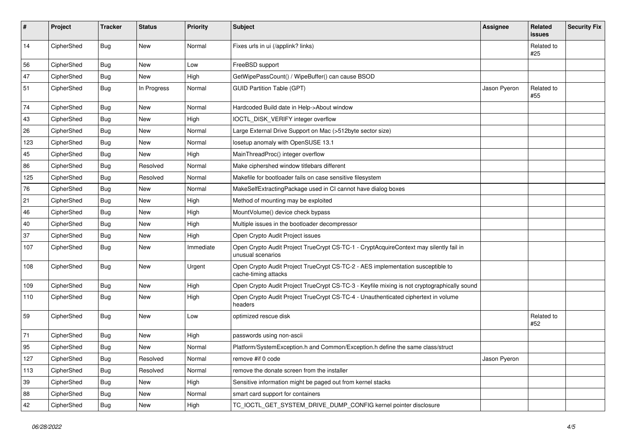| #   | Project    | <b>Tracker</b> | <b>Status</b> | <b>Priority</b> | Subject                                                                                                     | Assignee     | Related<br>issues | <b>Security Fix</b> |
|-----|------------|----------------|---------------|-----------------|-------------------------------------------------------------------------------------------------------------|--------------|-------------------|---------------------|
| 14  | CipherShed | Bug            | <b>New</b>    | Normal          | Fixes urls in ui (/applink? links)                                                                          |              | Related to<br>#25 |                     |
| 56  | CipherShed | <b>Bug</b>     | New           | Low             | FreeBSD support                                                                                             |              |                   |                     |
| 47  | CipherShed | <b>Bug</b>     | New           | High            | GetWipePassCount() / WipeBuffer() can cause BSOD                                                            |              |                   |                     |
| 51  | CipherShed | <b>Bug</b>     | In Progress   | Normal          | <b>GUID Partition Table (GPT)</b>                                                                           | Jason Pyeron | Related to<br>#55 |                     |
| 74  | CipherShed | <b>Bug</b>     | <b>New</b>    | Normal          | Hardcoded Build date in Help->About window                                                                  |              |                   |                     |
| 43  | CipherShed | <b>Bug</b>     | <b>New</b>    | High            | IOCTL_DISK_VERIFY integer overflow                                                                          |              |                   |                     |
| 26  | CipherShed | <b>Bug</b>     | <b>New</b>    | Normal          | Large External Drive Support on Mac (>512byte sector size)                                                  |              |                   |                     |
| 123 | CipherShed | <b>Bug</b>     | <b>New</b>    | Normal          | losetup anomaly with OpenSUSE 13.1                                                                          |              |                   |                     |
| 45  | CipherShed | Bug            | New           | High            | MainThreadProc() integer overflow                                                                           |              |                   |                     |
| 86  | CipherShed | <b>Bug</b>     | Resolved      | Normal          | Make ciphershed window titlebars different                                                                  |              |                   |                     |
| 125 | CipherShed | <b>Bug</b>     | Resolved      | Normal          | Makefile for bootloader fails on case sensitive filesystem                                                  |              |                   |                     |
| 76  | CipherShed | <b>Bug</b>     | New           | Normal          | MakeSelfExtractingPackage used in CI cannot have dialog boxes                                               |              |                   |                     |
| 21  | CipherShed | <b>Bug</b>     | New           | High            | Method of mounting may be exploited                                                                         |              |                   |                     |
| 46  | CipherShed | Bug            | New           | High            | MountVolume() device check bypass                                                                           |              |                   |                     |
| 40  | CipherShed | <b>Bug</b>     | <b>New</b>    | High            | Multiple issues in the bootloader decompressor                                                              |              |                   |                     |
| 37  | CipherShed | Bug            | <b>New</b>    | High            | Open Crypto Audit Project issues                                                                            |              |                   |                     |
| 107 | CipherShed | <b>Bug</b>     | New           | Immediate       | Open Crypto Audit Project TrueCrypt CS-TC-1 - CryptAcquireContext may silently fail in<br>unusual scenarios |              |                   |                     |
| 108 | CipherShed | <b>Bug</b>     | <b>New</b>    | Urgent          | Open Crypto Audit Project TrueCrypt CS-TC-2 - AES implementation susceptible to<br>cache-timing attacks     |              |                   |                     |
| 109 | CipherShed | Bug            | <b>New</b>    | High            | Open Crypto Audit Project TrueCrypt CS-TC-3 - Keyfile mixing is not cryptographically sound                 |              |                   |                     |
| 110 | CipherShed | Bug            | New           | High            | Open Crypto Audit Project TrueCrypt CS-TC-4 - Unauthenticated ciphertext in volume<br>headers               |              |                   |                     |
| 59  | CipherShed | <b>Bug</b>     | <b>New</b>    | Low             | optimized rescue disk                                                                                       |              | Related to<br>#52 |                     |
| 71  | CipherShed | Bug            | <b>New</b>    | High            | passwords using non-ascii                                                                                   |              |                   |                     |
| 95  | CipherShed | Bug            | New           | Normal          | Platform/SystemException.h and Common/Exception.h define the same class/struct                              |              |                   |                     |
| 127 | CipherShed | <b>Bug</b>     | Resolved      | Normal          | remove #if 0 code                                                                                           | Jason Pyeron |                   |                     |
| 113 | CipherShed | Bug            | Resolved      | Normal          | remove the donate screen from the installer                                                                 |              |                   |                     |
| 39  | CipherShed | <b>Bug</b>     | <b>New</b>    | High            | Sensitive information might be paged out from kernel stacks                                                 |              |                   |                     |
| 88  | CipherShed | <b>Bug</b>     | New           | Normal          | smart card support for containers                                                                           |              |                   |                     |
| 42  | CipherShed | <b>Bug</b>     | New           | High            | TC_IOCTL_GET_SYSTEM_DRIVE_DUMP_CONFIG kernel pointer disclosure                                             |              |                   |                     |